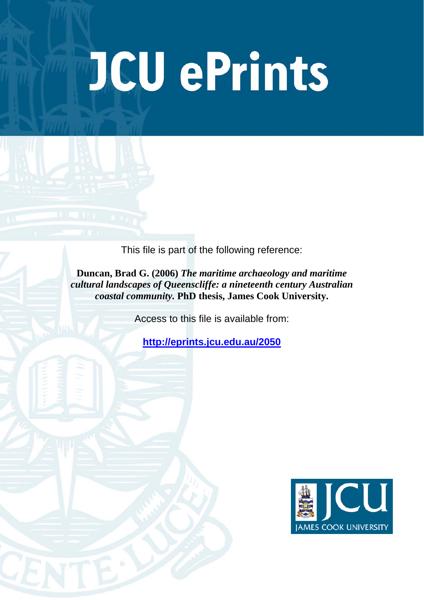## JCU ePrints

This file is part of the following reference:

**Duncan, Brad G. (2006)** *The maritime archaeology and maritime cultural landscapes of Queenscliffe: a nineteenth century Australian coastal community.* **PhD thesis, James Cook University.**

Access to this file is available from:

**<http://eprints.jcu.edu.au/2050>**

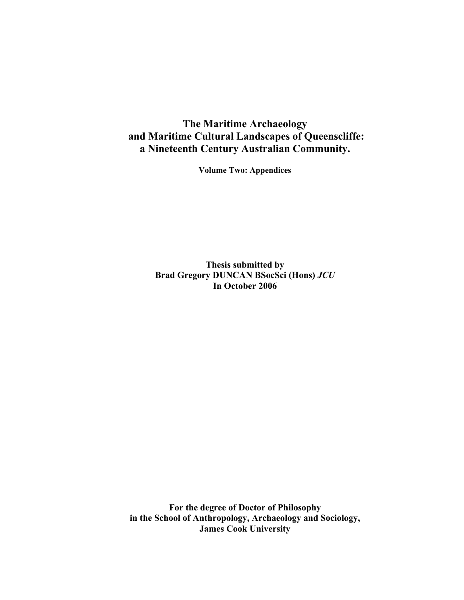## **The Maritime Archaeology and Maritime Cultural Landscapes of Queenscliffe: a Nineteenth Century Australian Community.**

**Volume Two: Appendices** 

**Thesis submitted by Brad Gregory DUNCAN BSocSci (Hons)** *JCU*  **In October 2006** 

**For the degree of Doctor of Philosophy in the School of Anthropology, Archaeology and Sociology, James Cook University**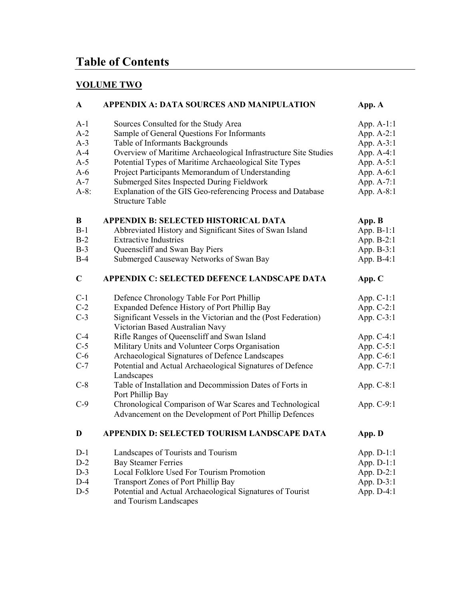## **Table of Contents**

## **VOLUME TWO**

| $\mathbf{A}$ | <b>APPENDIX A: DATA SOURCES AND MANIPULATION</b>                                      | App. A       |
|--------------|---------------------------------------------------------------------------------------|--------------|
| $A-1$        | Sources Consulted for the Study Area                                                  | App. $A-1:1$ |
| $A-2$        | Sample of General Questions For Informants                                            | App. A-2:1   |
| $A-3$        | Table of Informants Backgrounds                                                       | App. A-3:1   |
| $A-4$        | Overview of Maritime Archaeological Infrastructure Site Studies                       | App. A-4:1   |
| $A-5$        | Potential Types of Maritime Archaeological Site Types                                 | App. A-5:1   |
| $A-6$        | Project Participants Memorandum of Understanding                                      | App. A-6:1   |
| $A-7$        | Submerged Sites Inspected During Fieldwork                                            | App. A-7:1   |
| $A-8$ :      | Explanation of the GIS Geo-referencing Process and Database<br><b>Structure Table</b> | App. A-8:1   |
| B            | <b>APPENDIX B: SELECTED HISTORICAL DATA</b>                                           | App. B       |
| $B-1$        | Abbreviated History and Significant Sites of Swan Island                              | App. B-1:1   |
| $B-2$        | <b>Extractive Industries</b>                                                          | App. B-2:1   |
| $B-3$        | Queenscliff and Swan Bay Piers                                                        | App. B-3:1   |
| $B-4$        | Submerged Causeway Networks of Swan Bay                                               | App. B-4:1   |
| $\mathbf C$  | APPENDIX C: SELECTED DEFENCE LANDSCAPE DATA                                           | App. C       |
| $C-1$        | Defence Chronology Table For Port Phillip                                             | App. $C-1:1$ |
| $C-2$        | Expanded Defence History of Port Phillip Bay                                          | App. $C-2:1$ |
| $C-3$        | Significant Vessels in the Victorian and the (Post Federation)                        | App. C-3:1   |
|              | Victorian Based Australian Navy                                                       |              |
| $C-4$        | Rifle Ranges of Queenscliff and Swan Island                                           | App. $C-4:1$ |
| $C-5$        | Military Units and Volunteer Corps Organisation                                       | App. C-5:1   |
| $C-6$        | Archaeological Signatures of Defence Landscapes                                       | App. C-6:1   |
| $C-7$        | Potential and Actual Archaeological Signatures of Defence<br>Landscapes               | App. C-7:1   |
| $C-8$        | Table of Installation and Decommission Dates of Forts in<br>Port Phillip Bay          | App. C-8:1   |
| $C-9$        | Chronological Comparison of War Scares and Technological                              | App. $C-9:1$ |
|              | Advancement on the Development of Port Phillip Defences                               |              |
| D            | APPENDIX D: SELECTED TOURISM LANDSCAPE DATA                                           | App. D       |
| $D-1$        | Landscapes of Tourists and Tourism                                                    | App. D-1:1   |
| $D-2$        | <b>Bay Steamer Ferries</b>                                                            | App. $D-1:1$ |
| $D-3$        | Local Folklore Used For Tourism Promotion                                             | App. D-2:1   |
| $D-4$        | <b>Transport Zones of Port Phillip Bay</b>                                            | App. D-3:1   |
| $D-5$        | Potential and Actual Archaeological Signatures of Tourist<br>and Tourism Landscapes   | App. D-4:1   |